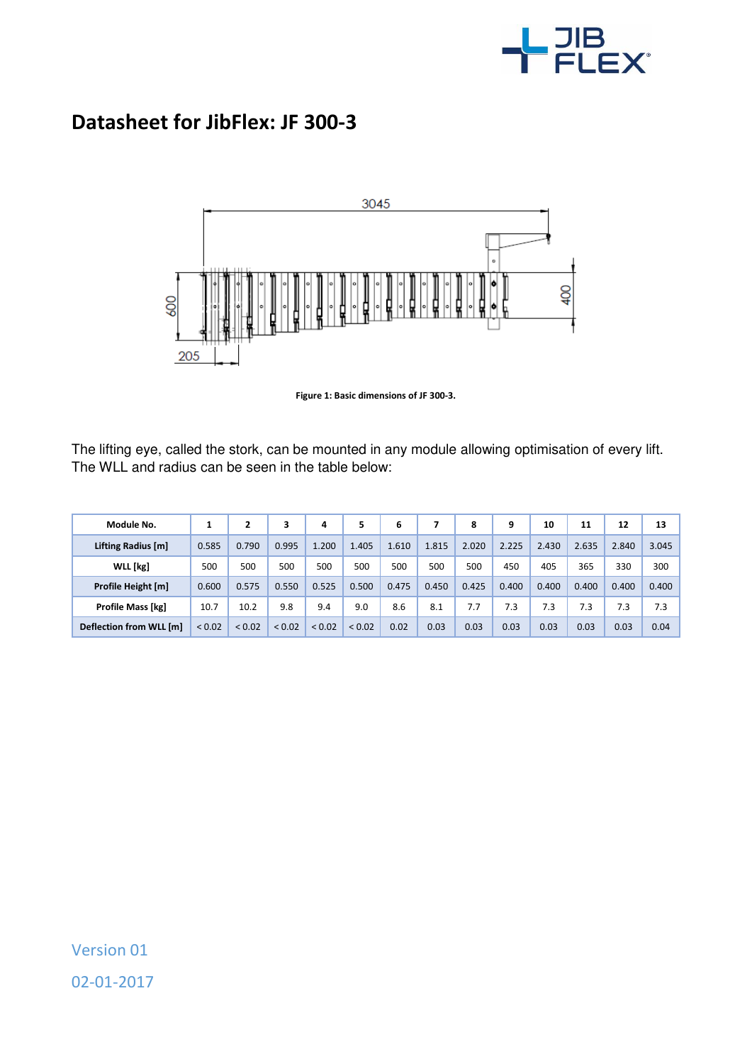

## **Datasheet for JibFlex: JF 300-3**



**Figure 1: Basic dimensions of JF 300-3.** 

The lifting eye, called the stork, can be mounted in any module allowing optimisation of every lift. The WLL and radius can be seen in the table below:

| Module No.               |             | 2           | 3           | 4           | 5      | 6     |       | 8     | 9     | 10    | 11    | 12    | 13    |
|--------------------------|-------------|-------------|-------------|-------------|--------|-------|-------|-------|-------|-------|-------|-------|-------|
| Lifting Radius [m]       | 0.585       | 0.790       | 0.995       | 1.200       | 1.405  | 1.610 | 1.815 | 2.020 | 2.225 | 2.430 | 2.635 | 2.840 | 3.045 |
| WLL [kg]                 | 500         | 500         | 500         | 500         | 500    | 500   | 500   | 500   | 450   | 405   | 365   | 330   | 300   |
| Profile Height [m]       | 0.600       | 0.575       | 0.550       | 0.525       | 0.500  | 0.475 | 0.450 | 0.425 | 0.400 | 0.400 | 0.400 | 0.400 | 0.400 |
| <b>Profile Mass [kg]</b> | 10.7        | 10.2        | 9.8         | 9.4         | 9.0    | 8.6   | 8.1   | 7.7   | 7.3   | 7.3   | 7.3   | 7.3   | 7.3   |
| Deflection from WLL [m]  | ${}_{0.02}$ | ${}_{0.02}$ | ${}_{0.02}$ | ${}_{0.02}$ | < 0.02 | 0.02  | 0.03  | 0.03  | 0.03  | 0.03  | 0.03  | 0.03  | 0.04  |